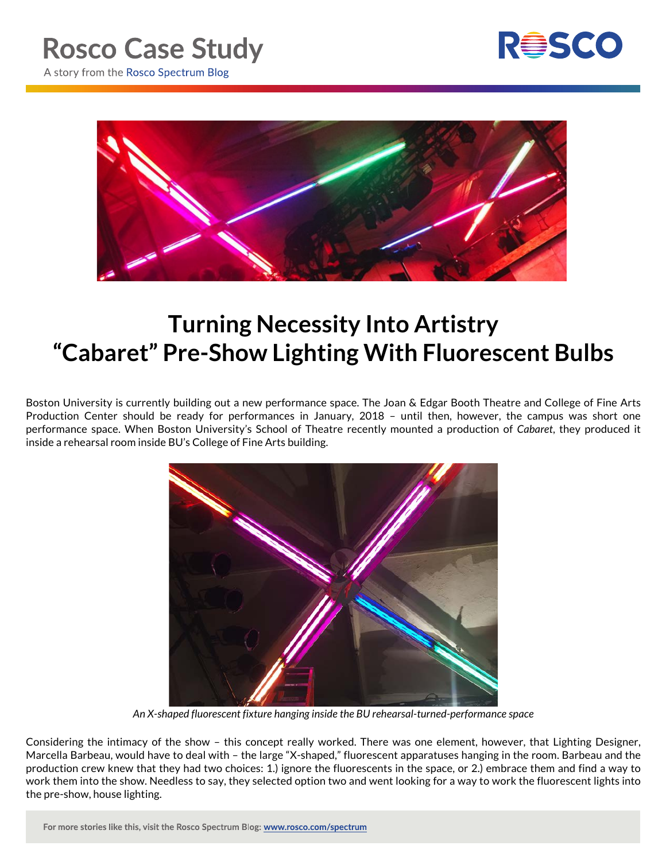



## **Turning Necessity Into Artistry "Cabaret" Pre-Show Lighting With Fluorescent Bulbs**

Boston University is currently building out a new performance space. The Joan & Edgar Booth Theatre and College of Fine Arts Production Center should be ready for performances in January, 2018 – until then, however, the campus was short one performance space. When Boston University's School of Theatre recently mounted a production of *Cabaret*, they produced it inside a rehearsal room inside BU's College of Fine Arts building.



*An X-shaped fluorescent fixture hanging inside the BU rehearsal-turned-performance space*

Considering the intimacy of the show – this concept really worked. There was one element, however, that Lighting Designer, Marcella Barbeau, would have to deal with – the large "X-shaped," fluorescent apparatuses hanging in the room. Barbeau and the production crew knew that they had two choices: 1.) ignore the fluorescents in the space, or 2.) embrace them and find a way to work them into the show. Needless to say, they selected option two and went looking for a way to work the fluorescent lights into the pre-show, house lighting.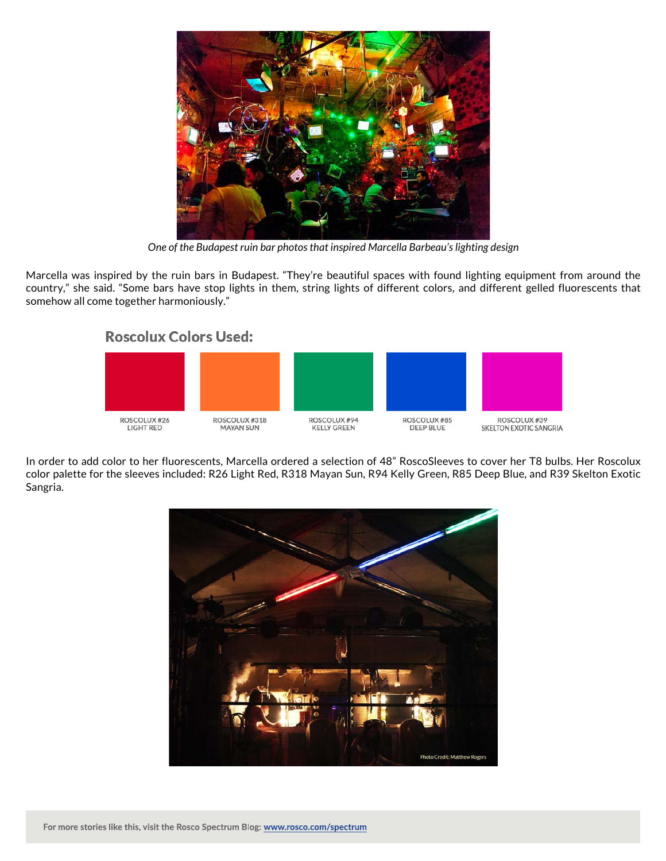

*One of the Budapest ruin bar photos that inspired Marcella Barbeau's lighting design*

Marcella was inspired by the ruin bars in Budapest. "They're beautiful spaces with found lighting equipment from around the country," she said. "Some bars have stop lights in them, string lights of different colors, and different gelled fluorescents that somehow all come together harmoniously."

## **Roscolux Colors Used:**



In order to add color to her fluorescents, Marcella ordered a selection of 48" RoscoSleeves to cover her T8 bulbs. Her Roscolux color palette for the sleeves included: R26 Light Red, R318 Mayan Sun, R94 Kelly Green, R85 Deep Blue, and R39 Skelton Exotic Sangria.